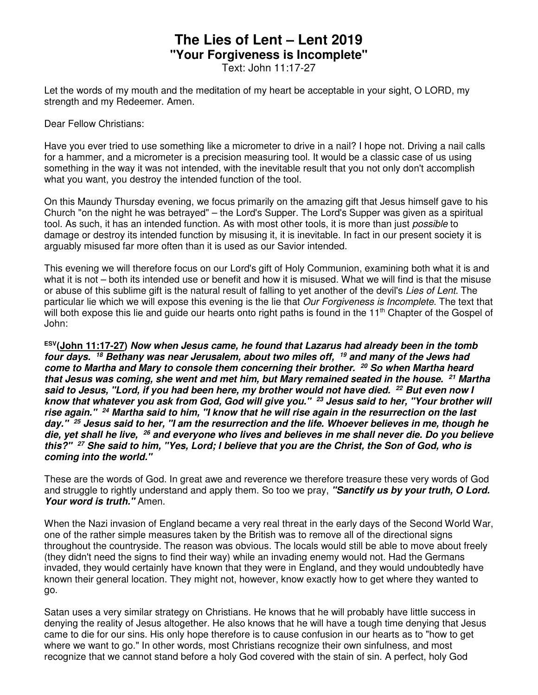## **The Lies of Lent – Lent 2019 "Your Forgiveness is Incomplete"**

Text: John 11:17-27

Let the words of my mouth and the meditation of my heart be acceptable in your sight, O LORD, my strength and my Redeemer. Amen.

Dear Fellow Christians:

Have you ever tried to use something like a micrometer to drive in a nail? I hope not. Driving a nail calls for a hammer, and a micrometer is a precision measuring tool. It would be a classic case of us using something in the way it was not intended, with the inevitable result that you not only don't accomplish what you want, you destroy the intended function of the tool.

On this Maundy Thursday evening, we focus primarily on the amazing gift that Jesus himself gave to his Church "on the night he was betrayed" – the Lord's Supper. The Lord's Supper was given as a spiritual tool. As such, it has an intended function. As with most other tools, it is more than just *possible* to damage or destroy its intended function by misusing it, it is inevitable. In fact in our present society it is arguably misused far more often than it is used as our Savior intended.

This evening we will therefore focus on our Lord's gift of Holy Communion, examining both what it is and what it is not – both its intended use or benefit and how it is misused. What we will find is that the misuse or abuse of this sublime gift is the natural result of falling to yet another of the devil's *Lies of Lent*. The particular lie which we will expose this evening is the lie that *Our Forgiveness is Incomplete*. The text that will both expose this lie and guide our hearts onto right paths is found in the 11<sup>th</sup> Chapter of the Gospel of John:

**ESV(John 11:17-27) Now when Jesus came, he found that Lazarus had already been in the tomb four days. <sup>18</sup> Bethany was near Jerusalem, about two miles off, <sup>19</sup> and many of the Jews had come to Martha and Mary to console them concerning their brother. <sup>20</sup> So when Martha heard that Jesus was coming, she went and met him, but Mary remained seated in the house. <sup>21</sup> Martha said to Jesus, "Lord, if you had been here, my brother would not have died. <sup>22</sup> But even now I know that whatever you ask from God, God will give you." <sup>23</sup> Jesus said to her, "Your brother will rise again." <sup>24</sup> Martha said to him, "I know that he will rise again in the resurrection on the last day." <sup>25</sup> Jesus said to her, "I am the resurrection and the life. Whoever believes in me, though he die, yet shall he live, <sup>26</sup> and everyone who lives and believes in me shall never die. Do you believe this?" <sup>27</sup> She said to him, "Yes, Lord; I believe that you are the Christ, the Son of God, who is coming into the world."** 

These are the words of God. In great awe and reverence we therefore treasure these very words of God and struggle to rightly understand and apply them. So too we pray, **"Sanctify us by your truth, O Lord. Your word is truth."** Amen.

When the Nazi invasion of England became a very real threat in the early days of the Second World War, one of the rather simple measures taken by the British was to remove all of the directional signs throughout the countryside. The reason was obvious. The locals would still be able to move about freely (they didn't need the signs to find their way) while an invading enemy would not. Had the Germans invaded, they would certainly have known that they were in England, and they would undoubtedly have known their general location. They might not, however, know exactly how to get where they wanted to go.

Satan uses a very similar strategy on Christians. He knows that he will probably have little success in denying the reality of Jesus altogether. He also knows that he will have a tough time denying that Jesus came to die for our sins. His only hope therefore is to cause confusion in our hearts as to "how to get where we want to go." In other words, most Christians recognize their own sinfulness, and most recognize that we cannot stand before a holy God covered with the stain of sin. A perfect, holy God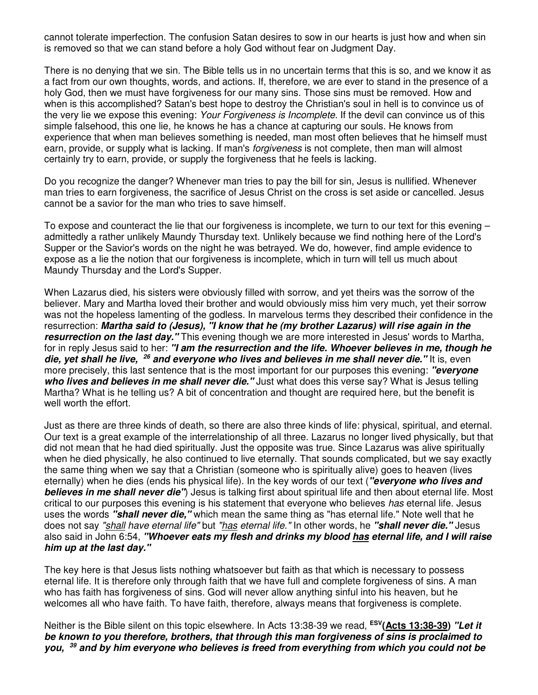cannot tolerate imperfection. The confusion Satan desires to sow in our hearts is just how and when sin is removed so that we can stand before a holy God without fear on Judgment Day.

There is no denying that we sin. The Bible tells us in no uncertain terms that this is so, and we know it as a fact from our own thoughts, words, and actions. If, therefore, we are ever to stand in the presence of a holy God, then we must have forgiveness for our many sins. Those sins must be removed. How and when is this accomplished? Satan's best hope to destroy the Christian's soul in hell is to convince us of the very lie we expose this evening: *Your Forgiveness is Incomplete*. If the devil can convince us of this simple falsehood, this one lie, he knows he has a chance at capturing our souls. He knows from experience that when man believes something is needed, man most often believes that he himself must earn, provide, or supply what is lacking. If man's *forgiveness* is not complete, then man will almost certainly try to earn, provide, or supply the forgiveness that he feels is lacking.

Do you recognize the danger? Whenever man tries to pay the bill for sin, Jesus is nullified. Whenever man tries to earn forgiveness, the sacrifice of Jesus Christ on the cross is set aside or cancelled. Jesus cannot be a savior for the man who tries to save himself.

To expose and counteract the lie that our forgiveness is incomplete, we turn to our text for this evening – admittedly a rather unlikely Maundy Thursday text. Unlikely because we find nothing here of the Lord's Supper or the Savior's words on the night he was betrayed. We do, however, find ample evidence to expose as a lie the notion that our forgiveness is incomplete, which in turn will tell us much about Maundy Thursday and the Lord's Supper.

When Lazarus died, his sisters were obviously filled with sorrow, and yet theirs was the sorrow of the believer. Mary and Martha loved their brother and would obviously miss him very much, yet their sorrow was not the hopeless lamenting of the godless. In marvelous terms they described their confidence in the resurrection: **Martha said to (Jesus), "I know that he (my brother Lazarus) will rise again in the resurrection on the last day."** This evening though we are more interested in Jesus' words to Martha, for in reply Jesus said to her: **"I am the resurrection and the life. Whoever believes in me, though he die, yet shall he live, <sup>26</sup> and everyone who lives and believes in me shall never die."** It is, even more precisely, this last sentence that is the most important for our purposes this evening: **"everyone**  who lives and believes in me shall never die." Just what does this verse say? What is Jesus telling Martha? What is he telling us? A bit of concentration and thought are required here, but the benefit is well worth the effort.

Just as there are three kinds of death, so there are also three kinds of life: physical, spiritual, and eternal. Our text is a great example of the interrelationship of all three. Lazarus no longer lived physically, but that did not mean that he had died spiritually. Just the opposite was true. Since Lazarus was alive spiritually when he died physically, he also continued to live eternally. That sounds complicated, but we say exactly the same thing when we say that a Christian (someone who is spiritually alive) goes to heaven (lives eternally) when he dies (ends his physical life). In the key words of our text (**"everyone who lives and believes in me shall never die"**) Jesus is talking first about spiritual life and then about eternal life. Most critical to our purposes this evening is his statement that everyone who believes *has* eternal life. Jesus uses the words **"shall never die,"** which mean the same thing as "has eternal life." Note well that he does not say *"shall have eternal life"* but *"has eternal life."* In other words, he **"shall never die."** Jesus also said in John 6:54, **"Whoever eats my flesh and drinks my blood has eternal life, and I will raise him up at the last day."**

The key here is that Jesus lists nothing whatsoever but faith as that which is necessary to possess eternal life. It is therefore only through faith that we have full and complete forgiveness of sins. A man who has faith has forgiveness of sins. God will never allow anything sinful into his heaven, but he welcomes all who have faith. To have faith, therefore, always means that forgiveness is complete.

Neither is the Bible silent on this topic elsewhere. In Acts 13:38-39 we read, **ESV(Acts 13:38-39) "Let it be known to you therefore, brothers, that through this man forgiveness of sins is proclaimed to you, 39 and by him everyone who believes is freed from everything from which you could not be**